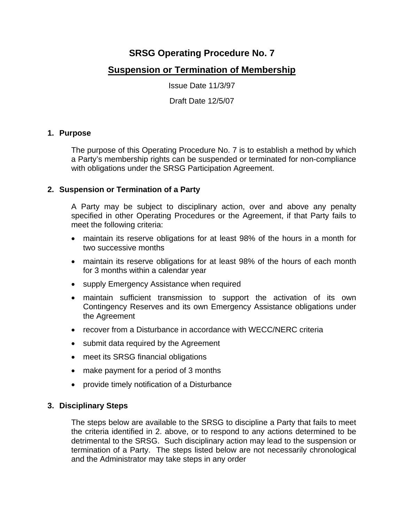# **SRSG Operating Procedure No. 7**

## **Suspension or Termination of Membership**

Issue Date 11/3/97

Draft Date 12/5/07

#### **1. Purpose**

The purpose of this Operating Procedure No. 7 is to establish a method by which a Party's membership rights can be suspended or terminated for non-compliance with obligations under the SRSG Participation Agreement.

#### **2. Suspension or Termination of a Party**

A Party may be subject to disciplinary action, over and above any penalty specified in other Operating Procedures or the Agreement, if that Party fails to meet the following criteria:

- maintain its reserve obligations for at least 98% of the hours in a month for two successive months
- maintain its reserve obligations for at least 98% of the hours of each month for 3 months within a calendar year
- supply Emergency Assistance when required
- maintain sufficient transmission to support the activation of its own Contingency Reserves and its own Emergency Assistance obligations under the Agreement
- recover from a Disturbance in accordance with WECC/NERC criteria
- submit data required by the Agreement
- meet its SRSG financial obligations
- make payment for a period of 3 months
- provide timely notification of a Disturbance

#### **3. Disciplinary Steps**

The steps below are available to the SRSG to discipline a Party that fails to meet the criteria identified in 2. above, or to respond to any actions determined to be detrimental to the SRSG. Such disciplinary action may lead to the suspension or termination of a Party. The steps listed below are not necessarily chronological and the Administrator may take steps in any order